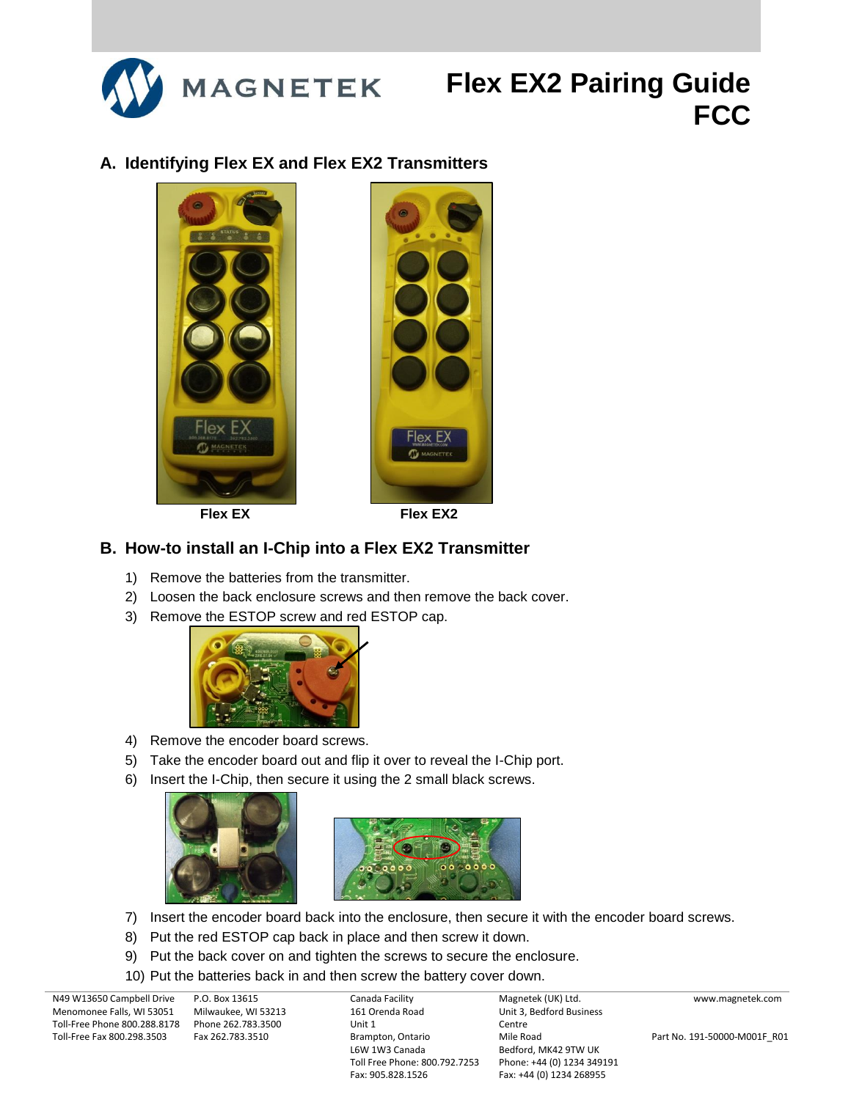

### **A. Identifying Flex EX and Flex EX2 Transmitters**



### **B. How-to install an I-Chip into a Flex EX2 Transmitter**

- 1) Remove the batteries from the transmitter.
- 2) Loosen the back enclosure screws and then remove the back cover.
- 3) Remove the ESTOP screw and red ESTOP cap.



- 4) Remove the encoder board screws.
- 5) Take the encoder board out and flip it over to reveal the I-Chip port.
- 6) Insert the I-Chip, then secure it using the 2 small black screws.





- 7) Insert the encoder board back into the enclosure, then secure it with the encoder board screws.
- 8) Put the red ESTOP cap back in place and then screw it down.
- 9) Put the back cover on and tighten the screws to secure the enclosure.
- 10) Put the batteries back in and then screw the battery cover down.

N49 W13650 Campbell Drive Menomonee Falls, WI 53051 Toll-Free Phone 800.288.8178 Phone 262.783.3500 Toll-Free Fax 800.298.3503

P.O. Box 13615 Milwaukee, WI 53213 Fax 262.783.3510

Canada Facility 161 Orenda Road Unit 1 Brampton, Ontario L6W 1W3 Canada Toll Free Phone: 800.792.7253 Fax: 905.828.1526

Magnetek (UK) Ltd. Unit 3, Bedford Business Centre Mile Road Bedford, MK42 9TW UK Phone: +44 (0) 1234 349191 Fax: +44 (0) 1234 268955

www.magnetek.com

Part No. 191-50000-M001F\_R01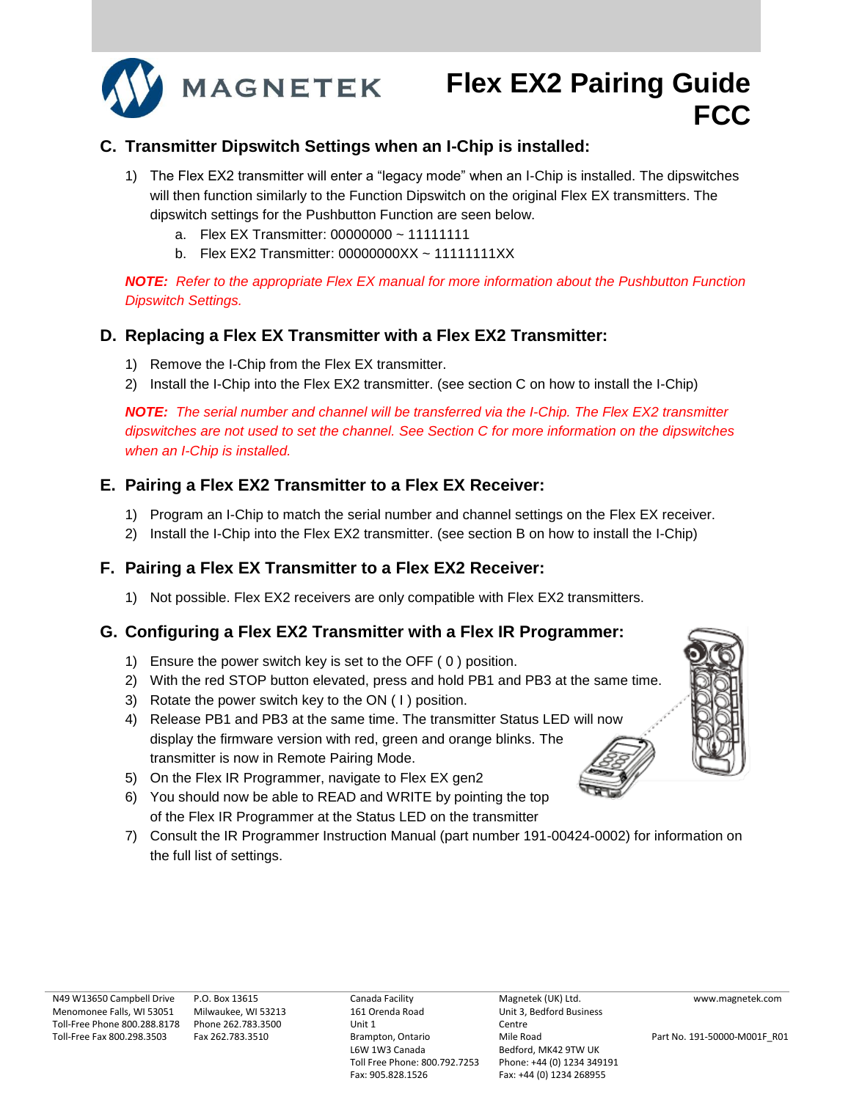

### **C. Transmitter Dipswitch Settings when an I-Chip is installed:**

- 1) The Flex EX2 transmitter will enter a "legacy mode" when an I-Chip is installed. The dipswitches will then function similarly to the Function Dipswitch on the original Flex EX transmitters. The dipswitch settings for the Pushbutton Function are seen below.
	- a. Flex EX Transmitter: 00000000 ~ 11111111
	- b. Flex EX2 Transmitter: 00000000XX ~ 11111111XX

*NOTE: Refer to the appropriate Flex EX manual for more information about the Pushbutton Function Dipswitch Settings.*

### **D. Replacing a Flex EX Transmitter with a Flex EX2 Transmitter:**

- 1) Remove the I-Chip from the Flex EX transmitter.
- 2) Install the I-Chip into the Flex EX2 transmitter. (see section C on how to install the I-Chip)

*NOTE: The serial number and channel will be transferred via the I-Chip. The Flex EX2 transmitter dipswitches are not used to set the channel. See Section C for more information on the dipswitches when an I-Chip is installed.*

### **E. Pairing a Flex EX2 Transmitter to a Flex EX Receiver:**

- 1) Program an I-Chip to match the serial number and channel settings on the Flex EX receiver.
- 2) Install the I-Chip into the Flex EX2 transmitter. (see section B on how to install the I-Chip)

### **F. Pairing a Flex EX Transmitter to a Flex EX2 Receiver:**

1) Not possible. Flex EX2 receivers are only compatible with Flex EX2 transmitters.

### **G. Configuring a Flex EX2 Transmitter with a Flex IR Programmer:**

- 1) Ensure the power switch key is set to the OFF ( 0 ) position.
- 2) With the red STOP button elevated, press and hold PB1 and PB3 at the same time.
- 3) Rotate the power switch key to the ON ( I ) position.
- 4) Release PB1 and PB3 at the same time. The transmitter Status LED will now display the firmware version with red, green and orange blinks. The transmitter is now in Remote Pairing Mode.
- 5) On the Flex IR Programmer, navigate to Flex EX gen2
- 6) You should now be able to READ and WRITE by pointing the top of the Flex IR Programmer at the Status LED on the transmitter
- 7) Consult the IR Programmer Instruction Manual (part number 191-00424-0002) for information on the full list of settings.

www.magnetek.com

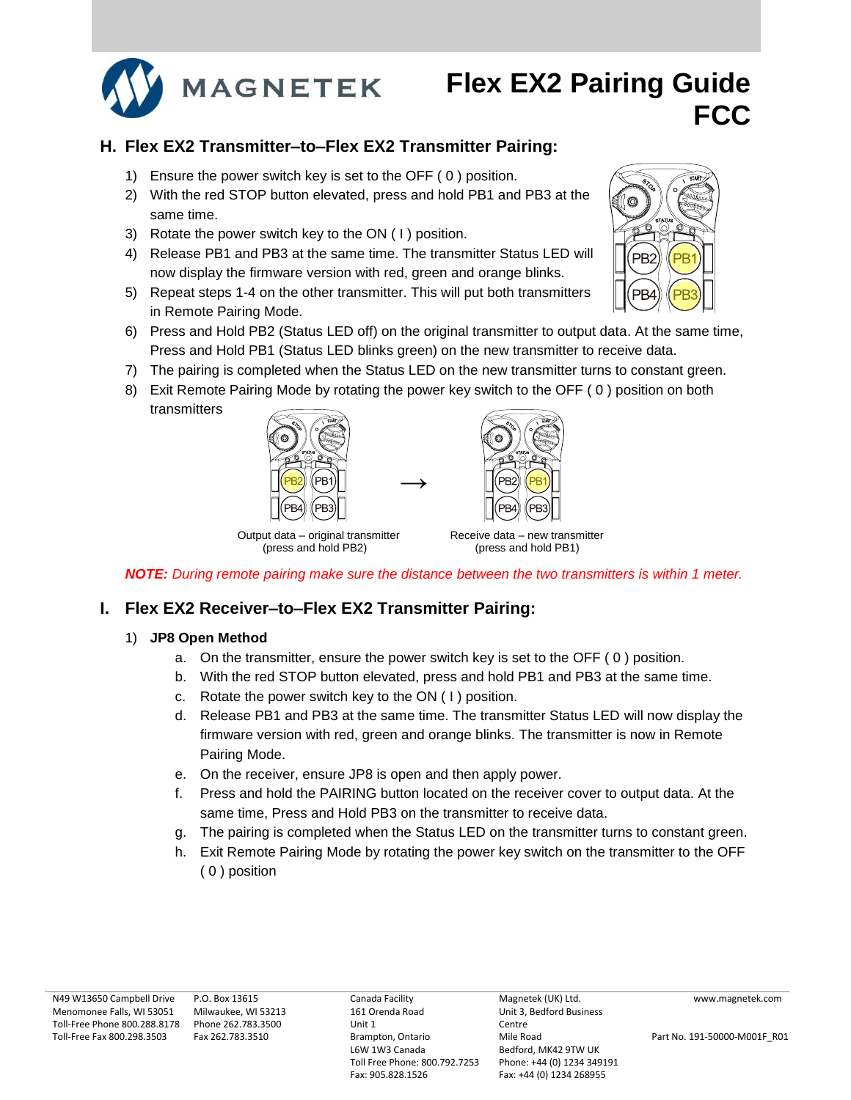

### **H. Flex EX2 Transmitter–to–Flex EX2 Transmitter Pairing:**

- 1) Ensure the power switch key is set to the OFF ( 0 ) position.
- 2) With the red STOP button elevated, press and hold PB1 and PB3 at the same time.
- 3) Rotate the power switch key to the ON ( I ) position.
- 4) Release PB1 and PB3 at the same time. The transmitter Status LED will now display the firmware version with red, green and orange blinks.
- 5) Repeat steps 1-4 on the other transmitter. This will put both transmitters in Remote Pairing Mode.
- 6) Press and Hold PB2 (Status LED off) on the original transmitter to output data. At the same time, Press and Hold PB1 (Status LED blinks green) on the new transmitter to receive data.
- 7) The pairing is completed when the Status LED on the new transmitter turns to constant green.
- 8) Exit Remote Pairing Mode by rotating the power key switch to the OFF ( 0 ) position on both transmitters

**→**





Output data – original transmitter Receive data – new transmitter (press and hold PB2) (press and hold PB1)

*NOTE: During remote pairing make sure the distance between the two transmitters is within 1 meter.*

### **I. Flex EX2 Receiver–to–Flex EX2 Transmitter Pairing:**

#### 1) **JP8 Open Method**

- a. On the transmitter, ensure the power switch key is set to the OFF ( 0 ) position.
- b. With the red STOP button elevated, press and hold PB1 and PB3 at the same time.
- c. Rotate the power switch key to the ON ( I ) position.
- d. Release PB1 and PB3 at the same time. The transmitter Status LED will now display the firmware version with red, green and orange blinks. The transmitter is now in Remote Pairing Mode.
- e. On the receiver, ensure JP8 is open and then apply power.
- f. Press and hold the PAIRING button located on the receiver cover to output data. At the same time, Press and Hold PB3 on the transmitter to receive data.
- g. The pairing is completed when the Status LED on the transmitter turns to constant green.
- h. Exit Remote Pairing Mode by rotating the power key switch on the transmitter to the OFF ( 0 ) position

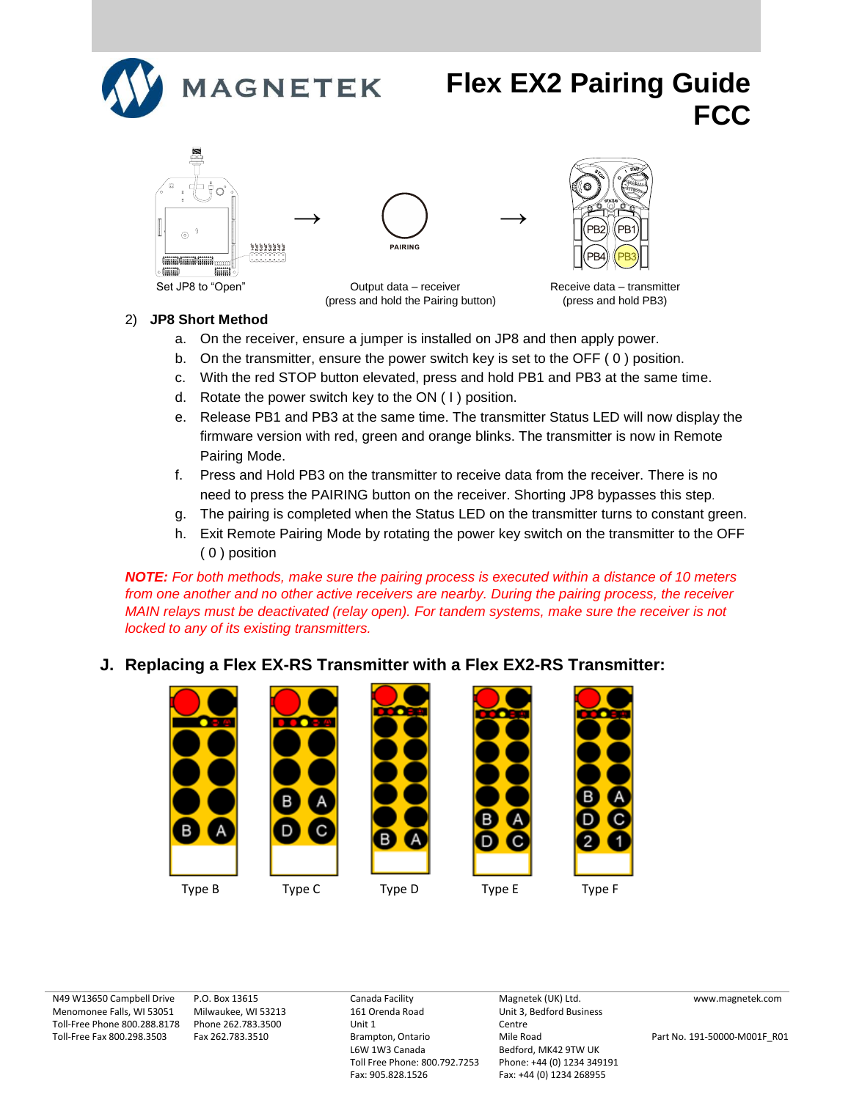







Set JP8 to "Open" Output data – receiver Receive data – transmitter (press and hold the Pairing button) (press and hold PB3)

#### 2) **JP8 Short Method**

- a. On the receiver, ensure a jumper is installed on JP8 and then apply power.
- b. On the transmitter, ensure the power switch key is set to the OFF ( 0 ) position.
- c. With the red STOP button elevated, press and hold PB1 and PB3 at the same time.
- d. Rotate the power switch key to the ON ( I ) position.
- e. Release PB1 and PB3 at the same time. The transmitter Status LED will now display the firmware version with red, green and orange blinks. The transmitter is now in Remote Pairing Mode.
- f. Press and Hold PB3 on the transmitter to receive data from the receiver. There is no need to press the PAIRING button on the receiver. Shorting JP8 bypasses this step*.*
- g. The pairing is completed when the Status LED on the transmitter turns to constant green.
- h. Exit Remote Pairing Mode by rotating the power key switch on the transmitter to the OFF ( 0 ) position

*NOTE: For both methods, make sure the pairing process is executed within a distance of 10 meters from one another and no other active receivers are nearby. During the pairing process, the receiver MAIN relays must be deactivated (relay open). For tandem systems, make sure the receiver is not locked to any of its existing transmitters.*

### **J. Replacing a Flex EX-RS Transmitter with a Flex EX2-RS Transmitter:**



N49 W13650 Campbell Drive Menomonee Falls, WI 53051 Toll-Free Phone 800.288.8178 Phone 262.783.3500 Toll-Free Fax 800.298.3503

P.O. Box 13615 Milwaukee, WI 53213 Fax 262.783.3510

Canada Facility 161 Orenda Road Unit 1 Brampton, Ontario L6W 1W3 Canada Toll Free Phone: 800.792.7253 Fax: 905.828.1526

Magnetek (UK) Ltd. Unit 3, Bedford Business Centre Mile Road Bedford, MK42 9TW UK Phone: +44 (0) 1234 349191 Fax: +44 (0) 1234 268955

www.magnetek.com

Part No. 191-50000-M001F\_R01